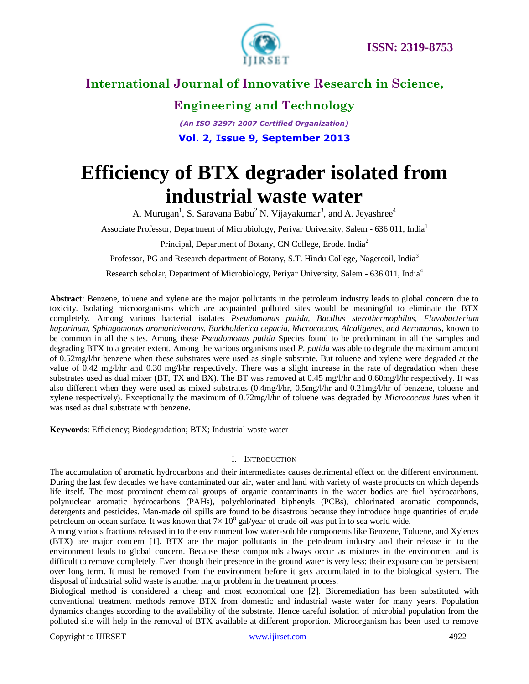

### **Engineering and Technology**

*(An ISO 3297: 2007 Certified Organization)* **Vol. 2, Issue 9, September 2013**

# **Efficiency of BTX degrader isolated from industrial waste water**

A. Murugan<sup>1</sup>, S. Saravana Babu<sup>2</sup> N. Vijayakumar<sup>3</sup>, and A. Jeyashree<sup>4</sup>

Associate Professor, Department of Microbiology, Periyar University, Salem - 636 011, India<sup>1</sup>

Principal, Department of Botany, CN College, Erode. India<sup>2</sup>

Professor, PG and Research department of Botany, S.T. Hindu College, Nagercoil, India<sup>3</sup>

Research scholar, Department of Microbiology, Periyar University, Salem - 636 011, India<sup>4</sup>

**Abstract**: Benzene, toluene and xylene are the major pollutants in the petroleum industry leads to global concern due to toxicity. Isolating microorganisms which are acquainted polluted sites would be meaningful to eliminate the BTX completely. Among various bacterial isolates *Pseudomonas putida, Bacillus sterothermophilus, Flavobacterium haparinum, Sphingomonas aromaricivorans, Burkholderica cepacia, Micrococcus, Alcaligenes, and Aeromonas*, known to be common in all the sites. Among these *Pseudomonas putida* Species found to be predominant in all the samples and degrading BTX to a greater extent. Among the various organisms used *P. putida* was able to degrade the maximum amount of 0.52mg/l/hr benzene when these substrates were used as single substrate. But toluene and xylene were degraded at the value of 0.42 mg/l/hr and 0.30 mg/l/hr respectively. There was a slight increase in the rate of degradation when these substrates used as dual mixer (BT, TX and BX). The BT was removed at 0.45 mg/l/hr and 0.60mg/l/hr respectively. It was also different when they were used as mixed substrates (0.4mg/l/hr, 0.5mg/l/hr and 0.21mg/l/hr of benzene, toluene and xylene respectively). Exceptionally the maximum of 0.72mg/l/hr of toluene was degraded by *Micrococcus lutes* when it was used as dual substrate with benzene.

**Keywords**: Efficiency; Biodegradation; BTX; Industrial waste water

### I. INTRODUCTION

The accumulation of aromatic hydrocarbons and their intermediates causes detrimental effect on the different environment. During the last few decades we have contaminated our air, water and land with variety of waste products on which depends life itself. The most prominent chemical groups of organic contaminants in the water bodies are fuel hydrocarbons, polynuclear aromatic hydrocarbons (PAHs), polychlorinated biphenyls (PCBs), chlorinated aromatic compounds, detergents and pesticides. Man-made oil spills are found to be disastrous because they introduce huge quantities of crude petroleum on ocean surface. It was known that  $7 \times 10^8$  gal/year of crude oil was put in to sea world wide.

Among various fractions released in to the environment low water-soluble components like Benzene, Toluene, and Xylenes (BTX) are major concern [1]. BTX are the major pollutants in the petroleum industry and their release in to the environment leads to global concern. Because these compounds always occur as mixtures in the environment and is difficult to remove completely. Even though their presence in the ground water is very less; their exposure can be persistent over long term. It must be removed from the environment before it gets accumulated in to the biological system. The disposal of industrial solid waste is another major problem in the treatment process.

Biological method is considered a cheap and most economical one [2]. Bioremediation has been substituted with conventional treatment methods remove BTX from domestic and industrial waste water for many years. Population dynamics changes according to the availability of the substrate. Hence careful isolation of microbial population from the polluted site will help in the removal of BTX available at different proportion. Microorganism has been used to remove

Copyright to IJIRSET www.ijirset.com 4922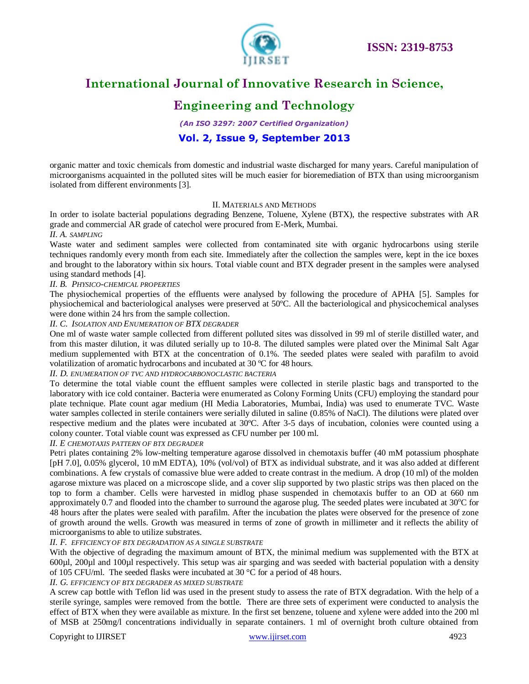

### **Engineering and Technology**

*(An ISO 3297: 2007 Certified Organization)*

### **Vol. 2, Issue 9, September 2013**

organic matter and toxic chemicals from domestic and industrial waste discharged for many years. Careful manipulation of microorganisms acquainted in the polluted sites will be much easier for bioremediation of BTX than using microorganism isolated from different environments [3].

### II. MATERIALS AND METHODS

In order to isolate bacterial populations degrading Benzene, Toluene, Xylene (BTX), the respective substrates with AR grade and commercial AR grade of catechol were procured from E-Merk, Mumbai.

#### *II. A. SAMPLING*

Waste water and sediment samples were collected from contaminated site with organic hydrocarbons using sterile techniques randomly every month from each site. Immediately after the collection the samples were, kept in the ice boxes and brought to the laboratory within six hours. Total viable count and BTX degrader present in the samples were analysed using standard methods [4].

### *II. B. PHYSICO-CHEMICAL PROPERTIES*

The physiochemical properties of the effluents were analysed by following the procedure of APHA [5]. Samples for physiochemical and bacteriological analyses were preserved at 50ºC. All the bacteriological and physicochemical analyses were done within 24 hrs from the sample collection.

#### *II. C. ISOLATION AND ENUMERATION OF BTX DEGRADER*

One ml of waste water sample collected from different polluted sites was dissolved in 99 ml of sterile distilled water, and from this master dilution, it was diluted serially up to 10-8. The diluted samples were plated over the Minimal Salt Agar medium supplemented with BTX at the concentration of 0.1%. The seeded plates were sealed with parafilm to avoid volatilization of aromatic hydrocarbons and incubated at 30 ºC for 48 hours.

#### *II. D. ENUMERATION OF TVC AND HYDROCARBONOCLASTIC BACTERIA*

To determine the total viable count the effluent samples were collected in sterile plastic bags and transported to the laboratory with ice cold container. Bacteria were enumerated as Colony Forming Units (CFU) employing the standard pour plate technique. Plate count agar medium (HI Media Laboratories, Mumbai, India) was used to enumerate TVC. Waste water samples collected in sterile containers were serially diluted in saline (0.85% of NaCl). The dilutions were plated over respective medium and the plates were incubated at 30ºC. After 3-5 days of incubation, colonies were counted using a colony counter. Total viable count was expressed as CFU number per 100 ml.

*II. E CHEMOTAXIS PATTERN OF BTX DEGRADER*

Petri plates containing 2% low-melting temperature agarose dissolved in chemotaxis buffer (40 mM potassium phosphate [pH 7.0], 0.05% glycerol, 10 mM EDTA), 10% (vol/vol) of BTX as individual substrate, and it was also added at different combinations. A few crystals of comassive blue were added to create contrast in the medium. A drop (10 ml) of the molden agarose mixture was placed on a microscope slide, and a cover slip supported by two plastic strips was then placed on the top to form a chamber. Cells were harvested in midlog phase suspended in chemotaxis buffer to an OD at 660 nm approximately 0.7 and flooded into the chamber to surround the agarose plug. The seeded plates were incubated at  $30^{\circ}$ C for 48 hours after the plates were sealed with parafilm. After the incubation the plates were observed for the presence of zone of growth around the wells. Growth was measured in terms of zone of growth in millimeter and it reflects the ability of microorganisms to able to utilize substrates.

### *II. F. EFFICIENCY OF BTX DEGRADATION AS A SINGLE SUBSTRATE*

With the objective of degrading the maximum amount of BTX, the minimal medium was supplemented with the BTX at 600µl, 200µl and 100µl respectively. This setup was air sparging and was seeded with bacterial population with a density of 105 CFU/ml. The seeded flasks were incubated at 30 °C for a period of 48 hours.

#### *II. G. EFFICIENCY OF BTX DEGRADER AS MIXED SUBSTRATE*

A screw cap bottle with Teflon lid was used in the present study to assess the rate of BTX degradation. With the help of a sterile syringe, samples were removed from the bottle. There are three sets of experiment were conducted to analysis the effect of BTX when they were available as mixture. In the first set benzene, toluene and xylene were added into the 200 ml of MSB at 250mg/l concentrations individually in separate containers. 1 ml of overnight broth culture obtained from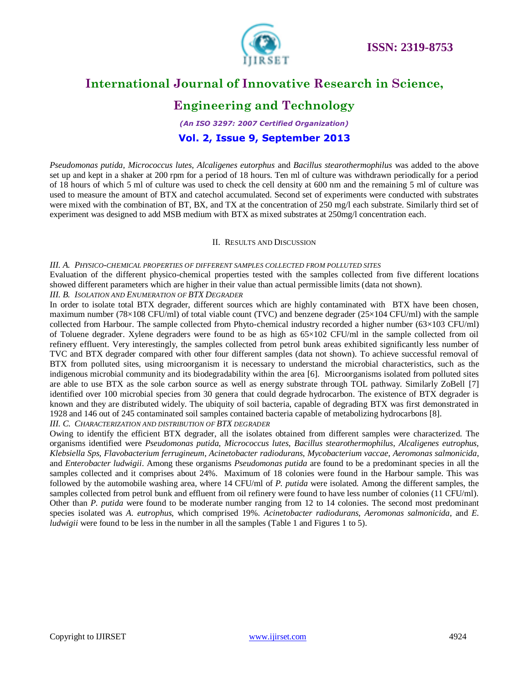

### **Engineering and Technology**

*(An ISO 3297: 2007 Certified Organization)* **Vol. 2, Issue 9, September 2013**

*Pseudomonas putida, Micrococcus lutes, Alcaligenes eutorphus* and *Bacillus stearothermophilus* was added to the above set up and kept in a shaker at 200 rpm for a period of 18 hours. Ten ml of culture was withdrawn periodically for a period of 18 hours of which 5 ml of culture was used to check the cell density at 600 nm and the remaining 5 ml of culture was used to measure the amount of BTX and catechol accumulated. Second set of experiments were conducted with substrates were mixed with the combination of BT, BX, and TX at the concentration of 250 mg/l each substrate. Similarly third set of experiment was designed to add MSB medium with BTX as mixed substrates at 250mg/l concentration each.

### II. RESULTS AND DISCUSSION

#### *III. A. PHYSICO-CHEMICAL PROPERTIES OF DIFFERENT SAMPLES COLLECTED FROM POLLUTED SITES*

Evaluation of the different physico-chemical properties tested with the samples collected from five different locations showed different parameters which are higher in their value than actual permissible limits (data not shown).

#### *III. B. ISOLATION AND ENUMERATION OF BTX DEGRADER*

In order to isolate total BTX degrader, different sources which are highly contaminated with BTX have been chosen, maximum number (78×108 CFU/ml) of total viable count (TVC) and benzene degrader (25×104 CFU/ml) with the sample collected from Harbour. The sample collected from Phyto-chemical industry recorded a higher number (63×103 CFU/ml) of Toluene degrader. Xylene degraders were found to be as high as 65×102 CFU/ml in the sample collected from oil refinery effluent. Very interestingly, the samples collected from petrol bunk areas exhibited significantly less number of TVC and BTX degrader compared with other four different samples (data not shown). To achieve successful removal of BTX from polluted sites, using microorganism it is necessary to understand the microbial characteristics, such as the indigenous microbial community and its biodegradability within the area [6]. Microorganisms isolated from polluted sites are able to use BTX as the sole carbon source as well as energy substrate through TOL pathway. Similarly ZoBell [7] identified over 100 microbial species from 30 genera that could degrade hydrocarbon. The existence of BTX degrader is known and they are distributed widely. The ubiquity of soil bacteria, capable of degrading BTX was first demonstrated in 1928 and 146 out of 245 contaminated soil samples contained bacteria capable of metabolizing hydrocarbons [8]. *III. C. CHARACTERIZATION AND DISTRIBUTION OF BTX DEGRADER*

Owing to identify the efficient BTX degrader, all the isolates obtained from different samples were characterized. The organisms identified were *Pseudomonas putida*, *Micrococcus lutes*, *Bacillus stearothermophilus*, *Alcaligenes eutrophus, Klebsiella Sps, Flavobacterium ferrugineum*, *Acinetobacter radiodurans*, *Mycobacterium vaccae*, *Aeromonas salmonicida*, and *Enterobacter ludwigii*. Among these organisms *Pseudomonas putida* are found to be a predominant species in all the samples collected and it comprises about 24%. Maximum of 18 colonies were found in the Harbour sample. This was followed by the automobile washing area, where 14 CFU/ml of *P. putida* were isolated. Among the different samples, the samples collected from petrol bunk and effluent from oil refinery were found to have less number of colonies (11 CFU/ml). Other than *P. putida* were found to be moderate number ranging from 12 to 14 colonies. The second most predominant species isolated was *A. eutrophus*, which comprised 19%. *Acinetobacter radiodurans*, *Aeromonas salmonicida*, and *E. ludwigii* were found to be less in the number in all the samples (Table 1 and Figures 1 to 5).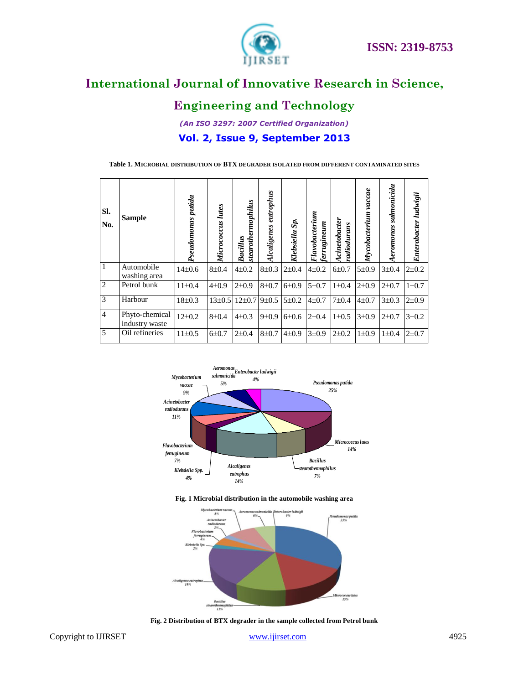

### **Engineering and Technology**

*(An ISO 3297: 2007 Certified Organization)* **Vol. 2, Issue 9, September 2013**

**Table 1. MICROBIAL DISTRIBUTION OF BTX DEGRADER ISOLATED FROM DIFFERENT CONTAMINATED SITES**

| Sl.<br>No.     | <b>Sample</b>                    | Pseudomonas putida | <b>Lutes</b><br>Micrococcus | stearothermophilus<br>Bacillus   | eutrophus<br>Alcaligenes | Klebsiella Sp. | Flavobacterium<br>ferrugineum | Acinetobacter<br>radiodurans | vaccae<br>Mycobacterium | salmonicida<br>eromonas | Enterobacter ludwigii |
|----------------|----------------------------------|--------------------|-----------------------------|----------------------------------|--------------------------|----------------|-------------------------------|------------------------------|-------------------------|-------------------------|-----------------------|
| $\mathbf{1}$   | Automobile<br>washing area       | $14\pm0.6$         | $8 + 0.4$                   | $4 + 0.2$                        | $8\pm0.3$                | $2 \pm 0.4$    | $4\pm 0.2$                    | $6 + 0.7$                    | 5±0.9                   | $3 \pm 0.4$             | $2 + 0.2$             |
| $\overline{2}$ | Petrol bunk                      | $11 \pm 0.4$       | $4\pm0.9$                   | $2+0.9$                          | $8 + 0.7$                | 6±0.9          | $5 + 0.7$                     | $1 \pm 0.4$                  | $2+0.9$                 | $2+0.7$                 | $1 \pm 0.7$           |
| $\overline{3}$ | Harbour                          | $18 \pm 0.3$       |                             | $13\pm0.5$ $12\pm0.7$ 9 $\pm0.5$ |                          | $5 \pm 0.2$    | $4\pm 0.7$                    | $7 + 0.4$                    | $4\pm 0.7$              | $3\pm0.3$               | $2 + 0.9$             |
| $\overline{4}$ | Phyto-chemical<br>industry waste | $12\pm0.2$         | $8 + 0.4$                   | $4\pm 0.3$                       | $9 \pm 0.9$              | 6±0.6          | $2 \pm 0.4$                   | $1 \pm 0.5$                  | $3 + 0.9$               | $2\pm 0.7$              | $3 + 0.2$             |
| $\overline{5}$ | Oil refineries                   | $11 \pm 0.5$       | $6\pm 0.7$                  | $2\pm 0.4$                       | $8 + 0.7$                | $4\pm0.9$      | $3 \pm 0.9$                   | $2\pm 0.2$                   | $1\pm0.9$               | $1 \pm 0.4$             | $2 + 0.7$             |



**Fig. 1 Microbial distribution in the automobile washing area**



**Fig. 2 Distribution of BTX degrader in the sample collected from Petrol bunk**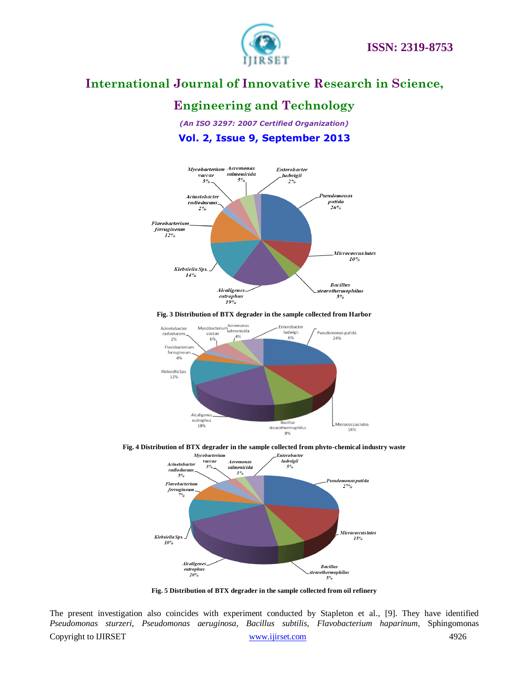

### **Engineering and Technology**

*(An ISO 3297: 2007 Certified Organization)* **Vol. 2, Issue 9, September 2013**



#### **Fig. 3 Distribution of BTX degrader in the sample collected from Harbor**







**Fig. 5 Distribution of BTX degrader in the sample collected from oil refinery**

Copyright to IJIRSET WWW.ijirset.com WWW.ijirset.com 4926 The present investigation also coincides with experiment conducted by Stapleton et al., [9]. They have identified *Pseudomonas sturzeri*, *Pseudomonas aeruginosa*, *Bacillus subtilis*, *Flavobacterium haparinum*, Sphingomonas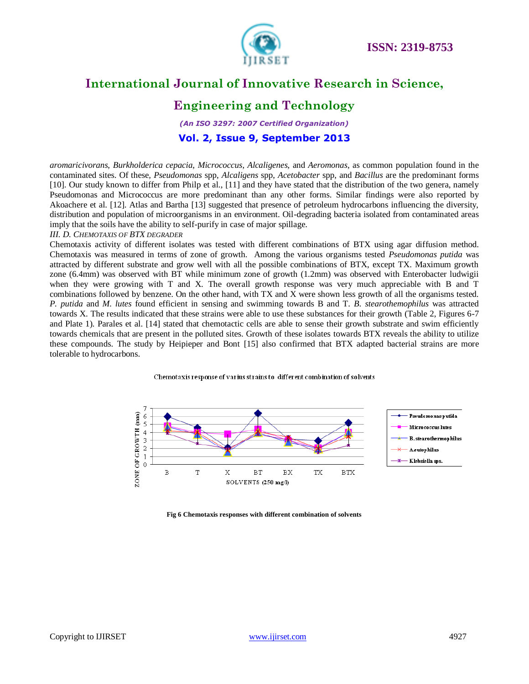

### **Engineering and Technology**

*(An ISO 3297: 2007 Certified Organization)* **Vol. 2, Issue 9, September 2013**

*aromaricivorans*, *Burkholderica cepacia*, *Micrococcus*, *Alcaligenes*, and *Aeromonas*, as common population found in the contaminated sites. Of these, *Pseudomonas* spp, *Alcaligens* spp, *Acetobacter* spp, and *Bacillus* are the predominant forms [10]. Our study known to differ from Philp et al., [11] and they have stated that the distribution of the two genera, namely Pseudomonas and Micrococcus are more predominant than any other forms. Similar findings were also reported by Akoachere et al. [12]. Atlas and Bartha [13] suggested that presence of petroleum hydrocarbons influencing the diversity, distribution and population of microorganisms in an environment. Oil-degrading bacteria isolated from contaminated areas imply that the soils have the ability to self-purify in case of major spillage.

#### *III. D. CHEMOTAXIS OF BTX DEGRADER*

Chemotaxis activity of different isolates was tested with different combinations of BTX using agar diffusion method. Chemotaxis was measured in terms of zone of growth. Among the various organisms tested *Pseudomonas putida* was attracted by different substrate and grow well with all the possible combinations of BTX, except TX. Maximum growth zone (6.4mm) was observed with BT while minimum zone of growth (1.2mm) was observed with Enterobacter ludwigii when they were growing with T and X. The overall growth response was very much appreciable with B and T combinations followed by benzene. On the other hand, with TX and X were shown less growth of all the organisms tested. *P. putida* and *M. lutes* found efficient in sensing and swimming towards B and T. *B. stearothemophilus* was attracted towards X. The results indicated that these strains were able to use these substances for their growth (Table 2, Figures 6-7 and Plate 1). Parales et al. [14] stated that chemotactic cells are able to sense their growth substrate and swim efficiently towards chemicals that are present in the polluted sites. Growth of these isolates towards BTX reveals the ability to utilize these compounds. The study by Heipieper and Bont [15] also confirmed that BTX adapted bacterial strains are more tolerable to hydrocarbons.





**Fig 6 Chemotaxis responses with different combination of solvents**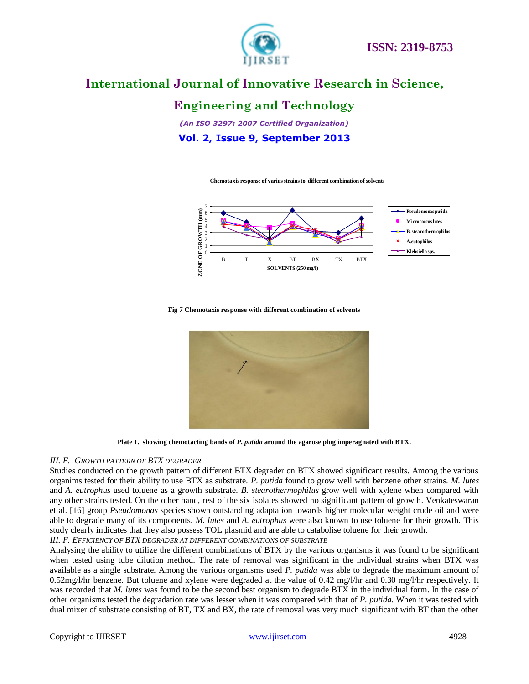

### **Engineering and Technology**

*(An ISO 3297: 2007 Certified Organization)* **Vol. 2, Issue 9, September 2013**

**Chemotaxis response of varius strains to different combination of solvents**



#### **Fig 7 Chemotaxis response with different combination of solvents**



**Plate 1. showing chemotacting bands of** *P. putida* **around the agarose plug imperagnated with BTX.**

#### *III. E. GROWTH PATTERN OF BTX DEGRADER*

Studies conducted on the growth pattern of different BTX degrader on BTX showed significant results. Among the various organims tested for their ability to use BTX as substrate. *P. putida* found to grow well with benzene other strains. *M. lutes* and *A. eutrophus* used toluene as a growth substrate*. B. stearothermophilus* grow well with xylene when compared with any other strains tested. On the other hand, rest of the six isolates showed no significant pattern of growth. Venkateswaran et al. [16] group *Pseudomonas* species shown outstanding adaptation towards higher molecular weight crude oil and were able to degrade many of its components. *M. lutes* and *A. eutrophus* were also known to use toluene for their growth. This study clearly indicates that they also possess TOL plasmid and are able to catabolise toluene for their growth.

*III. F. EFFICIENCY OF BTX DEGRADER AT DIFFERENT COMBINATIONS OF SUBSTRATE*

Analysing the ability to utilize the different combinations of BTX by the various organisms it was found to be significant when tested using tube dilution method. The rate of removal was significant in the individual strains when BTX was available as a single substrate. Among the various organisms used *P. putida* was able to degrade the maximum amount of 0.52mg/l/hr benzene. But toluene and xylene were degraded at the value of 0.42 mg/l/hr and 0.30 mg/l/hr respectively. It was recorded that *M. lutes* was found to be the second best organism to degrade BTX in the individual form. In the case of other organisms tested the degradation rate was lesser when it was compared with that of *P. putida*. When it was tested with dual mixer of substrate consisting of BT, TX and BX, the rate of removal was very much significant with BT than the other